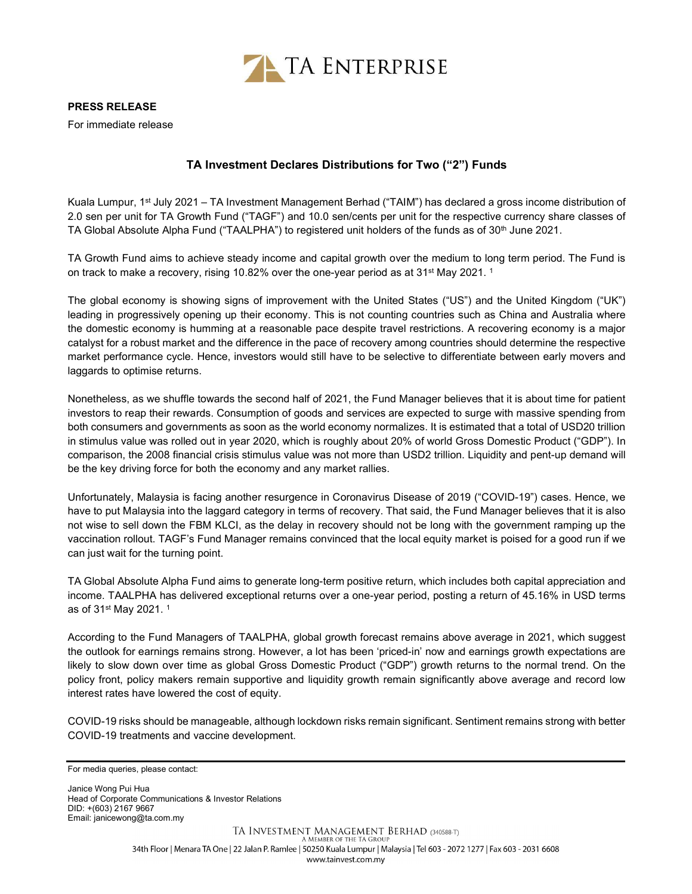

## PRESS RELEASE

For immediate release

## TA Investment Declares Distributions for Two ("2") Funds

Kuala Lumpur, 1st July 2021 – TA Investment Management Berhad ("TAIM") has declared a gross income distribution of 2.0 sen per unit for TA Growth Fund ("TAGF") and 10.0 sen/cents per unit for the respective currency share classes of TA Global Absolute Alpha Fund ("TAALPHA") to registered unit holders of the funds as of 30<sup>th</sup> June 2021.

TA Growth Fund aims to achieve steady income and capital growth over the medium to long term period. The Fund is on track to make a recovery, rising 10.82% over the one-year period as at 31<sup>st</sup> May 2021.<sup>1</sup>

The global economy is showing signs of improvement with the United States ("US") and the United Kingdom ("UK") leading in progressively opening up their economy. This is not counting countries such as China and Australia where the domestic economy is humming at a reasonable pace despite travel restrictions. A recovering economy is a major catalyst for a robust market and the difference in the pace of recovery among countries should determine the respective market performance cycle. Hence, investors would still have to be selective to differentiate between early movers and laggards to optimise returns.

Nonetheless, as we shuffle towards the second half of 2021, the Fund Manager believes that it is about time for patient investors to reap their rewards. Consumption of goods and services are expected to surge with massive spending from both consumers and governments as soon as the world economy normalizes. It is estimated that a total of USD20 trillion in stimulus value was rolled out in year 2020, which is roughly about 20% of world Gross Domestic Product ("GDP"). In comparison, the 2008 financial crisis stimulus value was not more than USD2 trillion. Liquidity and pent-up demand will be the key driving force for both the economy and any market rallies.

Unfortunately, Malaysia is facing another resurgence in Coronavirus Disease of 2019 ("COVID-19") cases. Hence, we have to put Malaysia into the laggard category in terms of recovery. That said, the Fund Manager believes that it is also not wise to sell down the FBM KLCI, as the delay in recovery should not be long with the government ramping up the vaccination rollout. TAGF's Fund Manager remains convinced that the local equity market is poised for a good run if we can just wait for the turning point.

TA Global Absolute Alpha Fund aims to generate long-term positive return, which includes both capital appreciation and income. TAALPHA has delivered exceptional returns over a one-year period, posting a return of 45.16% in USD terms as of 31st May 2021. <sup>1</sup>

According to the Fund Managers of TAALPHA, global growth forecast remains above average in 2021, which suggest the outlook for earnings remains strong. However, a lot has been 'priced-in' now and earnings growth expectations are likely to slow down over time as global Gross Domestic Product ("GDP") growth returns to the normal trend. On the policy front, policy makers remain supportive and liquidity growth remain significantly above average and record low interest rates have lowered the cost of equity.

COVID-19 risks should be manageable, although lockdown risks remain significant. Sentiment remains strong with better COVID-19 treatments and vaccine development.

Janice Wong Pui Hua Head of Corporate Communications & Investor Relations DID: +(603) 2167 9667 Email: janicewong@ta.com.my

For media queries, please contact: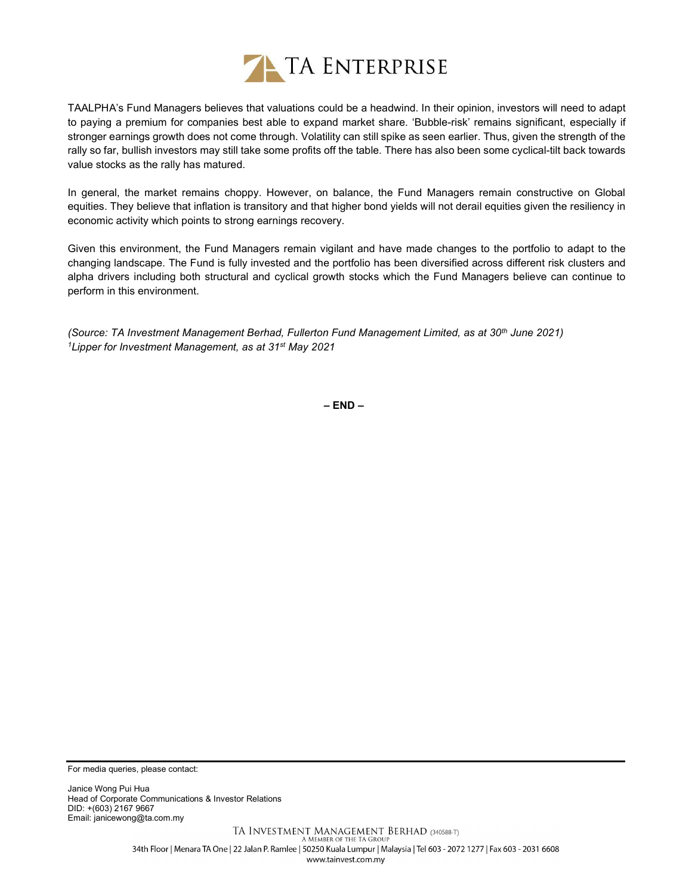

TAALPHA's Fund Managers believes that valuations could be a headwind. In their opinion, investors will need to adapt to paying a premium for companies best able to expand market share. 'Bubble-risk' remains significant, especially if stronger earnings growth does not come through. Volatility can still spike as seen earlier. Thus, given the strength of the rally so far, bullish investors may still take some profits off the table. There has also been some cyclical-tilt back towards value stocks as the rally has matured.

In general, the market remains choppy. However, on balance, the Fund Managers remain constructive on Global equities. They believe that inflation is transitory and that higher bond yields will not derail equities given the resiliency in economic activity which points to strong earnings recovery.

Given this environment, the Fund Managers remain vigilant and have made changes to the portfolio to adapt to the changing landscape. The Fund is fully invested and the portfolio has been diversified across different risk clusters and alpha drivers including both structural and cyclical growth stocks which the Fund Managers believe can continue to perform in this environment.

(Source: TA Investment Management Berhad, Fullerton Fund Management Limited, as at 30<sup>th</sup> June 2021) <sup>1</sup>Lipper for Investment Management, as at 31<sup>st</sup> May 2021

– END –

For media queries, please contact:

Janice Wong Pui Hua Head of Corporate Communications & Investor Relations DID: +(603) 2167 9667 Email: janicewong@ta.com.my